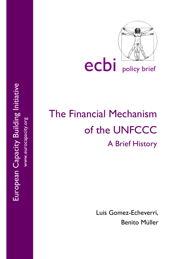

ecbi policy brief

# The Financial Mechanism of the UNFCCC A Brief History

Luis Gomez-Echeverri, Benito Müller

European Capacity Building Initiative European Capacity Building Initiative www.eurocapacity.org www.eurocapacity.org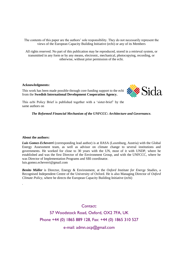The contents of this paper are the authors' sole responsibility. They do not necessarily represent the views of the European Capacity Building Initiative (ecbi) or any of its Members

All rights reserved. No part of this publication may be reproduced, stored in a retrieval system, or transmitted in any form or by any means, electronic, mechanical, photocopying, recording, or otherwise, without prior permission of the ecbi.

#### **Acknowledgments:**

This work has been made possible through core funding support to the ecbi from the **Swedish International Development Cooperation Agency.**



This ecbi Policy Brief is published together with a 'sister-brief' by the same authors on

*The Reformed Financial Mechanism of the UNFCCC***:** *Architecture and Governance.*

#### **About the authors:**

.

*Luis Gomez-Echeverri* (corresponding lead author) is at IIASA (Laxenburg, Austria) with the Global Energy Assessment team, as well as advisor on climate change to several institutions and governments. He worked for close to 30 years with the UN, most of it with UNDP, where he established and was the first Director of the Environment Group, and with the UNFCCC, where he was Director of Implementation Programs and SBI coordinator. luis.gomez.echeverri@gmail.com

*Benito Müller* is Director, Energy & Environment, at the *Oxford Institute for Energy Studies*, a Recognised Independent Centre of the University of Oxford. He is also Managing Director of *Oxford Climate Policy*, where he directs the European Capacity Building Initiative (ecbi)

Contact:

57 Woodstock Road, Oxford, OX2 7FA, UK Phone +44 (0) 1865 889 128, Fax: +44 (0) 1865 310 527

e-mail: admn.ocp@gmail.com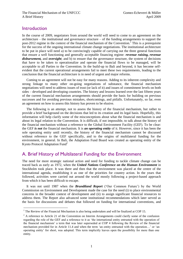#### **Introduction**

 $\overline{a}$ 

In the course of 2009, negotiators from around the world will need to come to an agreement on the architecture – the institutional and governance structure – of the funding arrangements to support the post-2012 regime in the context of the financial mechanism of the Convention.<sup>1</sup> This is a prerequisite for the success of the ongoing international climate change negotiations. The institutional architecture to be put in place will need a) to be convincingly capable of carrying out the three general functions that ensure a well functioning and generally acceptable financing regime: *revenue raising, revenue disbursement,* and *oversight*; and b) to ensure that the governance structure, the system of decisions that have to be taken to operationalize and operate the financial flows to be managed, will be acceptable to all Parties to the Convention. In the build-up to Bali and beyond, it has become selfevident that the current operational arrangements fail to meet these two requirements, leading to the conclusion that the financial architecture is in need of urgent and major reforms.

Coming to an agreement will not be easy for many reasons. Adding to its inherent complexity and strong linkage to many other on-going negotiations of substance, the financial mechanism negotiations will need to address issues of trust (or lack of it) and issues of commitment levels on both sides – developed and developing countries. The history and lessons learned over the last fifteen years of the current financial mechanism arrangements should provide the basis for building on previous successes and for avoiding previous mistakes, shortcomings, and pitfalls. Unfortunately, so far, even an agreement on how to assess this history has proven to be elusive.

The following is an attempt, not to assess the history of the financial mechanism, but rather to provide a brief background on the decisions that led to its creation and its legal basis. Hopefully, this information will help clarify some of the misconceptions about what the financial mechanism is and about its legal relation to the Convention. It is difficult, if not impossible, to talk about the history of the financial mechanism without a reference to the Global Environment Facility (GEF). To be clear: the GEF *is not* the financial mechanism. It is *an operating entity* of it. However, since it has been the sole operating entity until recently, the history of the financial mechanism cannot be discussed without reference to the GEF specifically, and to the origins of multilateral funding for the environment, in general. In Bali, the Adaptation Fund Board was created as operating entity of the Kyoto Protocol Adaptation Fund<sup>2</sup>

## A. Brief History of Multilateral Funding for the Environment

The need for more strategic national action and need for funding to tackle climate change can be traced back as early as 1972, when the *United Nations Conference on the Human Environment* in Stockholm took place. It was there and then that the environment was placed at the centre of the international agenda, establishing it as one of the priorities for country action. In the years that followed, activities were carried out around the world mostly following a project-based approach from which it has been difficult to escape.

It was not until 1987 when the *Brundtland Report* ('Our Common Future') by the World Commission on Environment and Development made the case for the need (i) to place environmental concerns in the broader context of development and (ii) to assign significant financial resources to address them. The Report also advanced some institutional recommendations which later served as the basis for discussions and debates that followed on funding for international conventions, and

<sup>&</sup>lt;sup>1</sup> The Review of the Financial Mechanism is also being undertaken and will be finalized at COP 15.

 $2$  A reference to Article 21 of the Convention on Interim Arrangements could clarify some of the confusion regarding the role of the GEF and a reference to it as 'the international entity entrusted with the operation of the financial mechanism' a term that was later superseded at COP 4 following the Review of the financial mechanism provided for in Article 11.4 and when the term 'an entity entrusted with the operation…' or 'an operating entity' for short, was adopted. This term implicitly leaves open the possibility for more than one entity.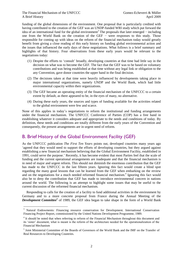$\overline{a}$ 

funding of the global dimensions of the environment. One proposal that is particularly credited with having contributed to the creation of the GEF was an UNDP-funded WRI study which put forward the idea of an international fund for the global environment<sup>3</sup> The proposals that later emerged – including one from the World Bank on the creation of the GEF − were responses to this study. Those responsible for coming up with ideas on the reform of the financial mechanism today would greatly benefit from giving a close reading of this early history on funding global environmental action and the issues that influenced the early days of these negotiations. What follows is a brief summary and highlights of that history. Four observations from these early years would be relevant to the negotiations today:

- (1) Despite the efforts to 'consult' broadly, developing countries at that time had little say in the decision on what was to become the GEF. The fact that the GEF was to be based on voluntary contributions and was being established at that time without any legal link or obligation to the any Convention, gave donor countries the upper hand in the final decision.
- (2) The decisions taken at that time were heavily influenced by developments taking place in major international organizations, namely UNDP and the World Bank, which had little environmental capacity within their organizations.
- (3) The GEF became an operating entity of the financial mechanism of the UNFCCC to a certain extent by default, as there appeared to be, in the eyes of many, no alternative.
- (4) During these early years, the sources and types of funding available for the activities related to the global environment were few and scarce.

None of this applies in today's negotiations to reform the institutional and funding arrangements under the financial mechanism. The UNFCCC Conference of Parties (COP) has a free hand in establishing whatever it considers adequate and appropriate to the needs and conditions of today. By definition, these needs and conditions are totally different from the early years of the Convention and consequently, the present arrangements are in urgent need of reform.

# B. Brief History of the Global Environment Facility (GEF)

As the UNFCCC publication *The First Ten Years* points out, developed countries many years ago 'agreed that they would need to support the efforts of developing countries, but they argued against establishing a new financial mechanism believing that the Global Environment Facility, established in 1991, could serve the purpose.' Recently, it has become evident that most Parties feel that the scale of funding and the current operational arrangements are inadequate and that the financial mechanism is in need of major and urgent reform. This should not diminish the enormous contribution that the GEF has made to the UNFCCC in the last fifteen years. Ignoring this fact would create a blind spot regarding the many good lessons that can be learned from the GEF when embarking on the review and on the negotiations for a much needed reformed financial mechanism. 4 Ignoring this fact would also be to deny the contribution that GEF has made to introduce environmental concern in nations around the world. The following is an attempt to highlight some issues that may be useful to the current discussion of the reformed financial mechanism.

Responding to calls for the creation of a facility to fund additional activities in the environment by Germany and to a more concrete proposal from France during the Annual Meeting of the *Development Committee<sup>5</sup>* of 1989, the GEF idea began to take shape in the form of a World Bank

<sup>&</sup>lt;sup>3</sup> Natural Endowments: Financing resource conservation for Development. International Conservation Financing Project Report, commissioned by the United Nations Development Programme, 1989.

<sup>&</sup>lt;sup>4</sup> It should be noted that when referring to reform of the Financial Mechanism throughout this document and its 'sister' document, what is meant is the reform of the architecture needed for the operationalization of the Financial Mechanism

<sup>&</sup>lt;sup>5</sup> Joint Ministerial Committee of the Boards of Governors of the World Bank and the IMF on the Transfer of Real Resources to Developing Countries.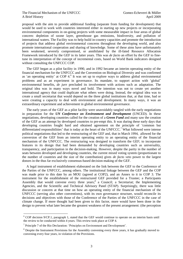proposal with the aim to provide additional funding (separate from funding for development) that would be used to work with countries interested either in starting up new projects or incorporating environmental components in on-going projects with some measurable impact in four areas of global concern: depletion of ozone layer, greenhouse gas emissions, biodiversity, and pollution of international waters. The Facility was to help build in-country capacities and promote the introduction of projects that address global environmental concerns throughout the developing world, and also promote international cooperation and sharing of knowledge. Some of these aims have unfortunately been weakened, severely compromised, or annihilated by the ill-fated Resource Allocation Framework introduced by the GEF in its latter years. This was *de facto* an effort by the GEF to finetune its interpretation of the concept of incremental costs, based on World Bank indicators designed without consulting the UNFCCC COP.

The GEF began as a pilot facility in 1990, and in 1992 became an interim operating entity of the financial mechanism for the UNFCCC and the Convention on Biological Diversity and was confirmed as 'an operating entity' at COP 4.<sup>6</sup> It was set up to explore ways to address global environmental problems and as an experiment in governance. Its mandate, to support action with 'global' environmental benefits, *de jure* precluded its involvement with actions such as adaptation. The original idea was in many ways novel and bold. The intention was not to create yet another international agency that could duplicate what others were doing. Instead, the original idea was to create a small secretariat that would depend on the three global institutions that, at that time, had or were creating a capacity to deal with environment and development. In many ways, it was an extraordinary experiment and achievement in global environmental governance.

The early years of the GEF as a pilot facility were unavoidably tangled with the early negotiations in preparation for the *UN Conference on Environment and Development* (UNCED). In these negotiations, developing countries called for the creation of a *Green Fund* and many saw the creation of the GEF as an attempt by developed countries to pre-empt this. It was during these early days that developing countries fought hard and obtained agreement on the principle of 'common but differentiated responsibilities' that is today at the heart of the UNFCCC.<sup>7</sup> What followed were intense political negotiations that led to the restructuring of the GEF and, that in March 1994, allowed for the conversion of the GEF from an interim operating entity to an operating entity of the financial mechanism of the UNFCCC. The restructuring was designed to transform the GEF; to incorporate features in its design that had been demanded by developing countries such as universality, transparency, and participation in the decision-making. However, despite the parity in the number of seats between developed and developing countries, the current mixed voting system (proportionate to the number of countries and the size of the contribution) gives *de facto veto* power to the largest donors in the thus far exclusively consensus-based decision-making of the GEF.

A legal instrument of establishment elaborated on the link between the GEF to the Conference of the Parties of the UNFCCC, among others. The institutional linkage between the GEF and the COP was made prior to this date by an MOU (agreed at COP2), and an Annex to it in COP 3. The instrument for the establishment of the restructured GEF provided for a Trustee; a Participants Assembly that would convene every three years;<sup>8</sup> a Council; a Secretariat; the Implementing Agencies, and the Scientific and Technical Advisory Panel (STAP). Surprisingly, there was little discussion or concern at that time on how an operating entity of the financial mechanism of the UNFCCC (serving also other conventions), with its own governance structure, would reconcile its decisions and objectives with those of the Conference of the Parties of the UNFCCC in the case of climate change. If more thought had been given to this factor, more would have been done in the design to prevent what later became the greatest weakness of the present arrangement: (the perception

 $\overline{a}$ 

<sup>6</sup> COP decision 9/CP.1, paragraph 1, stated that the GEF would continue to operate on an interim basis until the review to be conducted within 4 years. This review took place at COP 4.

<sup>&</sup>lt;sup>7</sup> Principle 7 of the Rio Declaration: 'Principles on Environment and Development'.

<sup>&</sup>lt;sup>8</sup> Despite the Instrument Provisions for the Assembly convening every three years, it has gradually moved to convening every four years, in violation of the Provisions.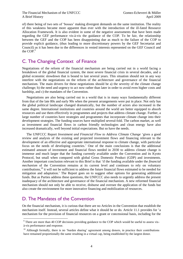of) there being of two sets of 'bosses' making divergent demands on the same institution. The reality of this weakness became more apparent than ever with the introduction of the ill-fated Resource Allocation Framework. It is also evident in some of the negative assessments that have been made regarding the GEF performance vis-à-vis the guidance of the COP. To be fair, the relationship between the GEF and the COP has been disappointing due as much to the failure of the COP to provide explicit guidance, (thus leading to more discretionary powers by the GEF Secretariat and Council) as it has been due to the differences in vested interests represented on the GEF Council and the COP.<sup>9</sup>

## C. The Changing Context of Finance

Negotiations of the reform of the financial mechanism are being carried out in a world facing a breakdown of the global financial system, the most severe financial crisis in several decades, and a global economic slowdown that is bound to last several years. This situation should not in any way interfere with the negotiations on the reform of the architecture and governance of the financial mechanism. The main drivers for these negotiations should be a) the severity of the climate change challenge; b) the need and urgency to act now rather than later in order to avoid even higher costs and hardship, and c) the mandates of the Convention.

Negotiations are also being carried out in a world that is in many ways fundamentally different from that of the late 80s and early 90s when the present arrangements were put in place. Not only has the global political landscape changed dramatically, but the number of actors also increased in the same degree. International institutions and countries around the world are better equipped to absorb resources and use them effectively in programmes and projects that address climate change. Further, a large number of countries have strategies and programmes that incorporate climate change into their development strategies. The funding sources have multiplied several-fold. The carbon market, as well as investment and financial flows in carbon friendly technologies and clean energy have also increased dramatically, well beyond initial expectations. But so have the needs.

The UNFCCC Report *Investment and Financial Flow to Address Climate Change* 'gives a good review and analysis of the existing and projected investment flows and financing relevant to the development of an effective and appropriate international response to climate change, with particular focus on the needs of developing countries.' One of the main conclusions is that the additional estimated amount of investment and financial flows needed in 2030 to address climate change is immense and much larger that the funding currently available under the Convention and its Kyoto Protocol, but small when compared with global Gross Domestic Product (GDP) and investments. Another important conclusion relevant to this Brief is that 'if the funding available under the *financial mechanism* of the Convention remains at its current level and continues to rely on voluntary contributions,<sup>10</sup> it will not be sufficient to address the future financial flows estimated to be needed for mitigation and adaptation.' The Report goes on to suggest other options for generating additional funds. But as Parties address these questions, the UNFCCC also needs to urgently address the present inadequacy of the architecture and governance of the financial mechanism. A new reformed financial mechanism should not only be able to receive, disburse and oversee the application of the funds but also create the environment for more innovative financing and mobilization of resources.

## D. The Mandates of the Convention

 $\overline{a}$ 

On the financial mechanism, it is curious that there are no Articles in the Convention that establish the mechanism itself. Instead, several articles define what it should be or do. Article 11.1 provides for 'a mechanism for the provision of financial resources on a grant or concessional basis, including for the

<sup>&</sup>lt;sup>9</sup> There are more than 40 COP decisions providing guidance to the COP which would be useful to assess visà-vis performance and response.

<sup>&</sup>lt;sup>10</sup> Although formally, there is no 'burden sharing' agreement among donors, in practice their contributions have remained proportionally the same resulting in a virtual cap, being established by the largest donor.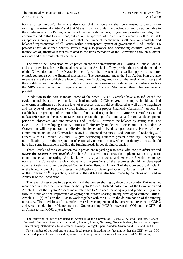$\overline{a}$ 

transfer of technology'. The article also states that 'its operation shall be entrusted to one or more existing international entities' and that 'it shall function under the guidance of and be accountable to the Conference of the Parties, which shall decide on its policies, programme priorities and eligibility criteria related to this Convention', but not on the approval of projects, a task which is left to the GEF as operating entity. Article 11.2 states that the financial mechanism 'shall have an equitable and balanced representation of all Parties within a transparent system of governance'. And Article 11.5 provides that 'developed country Parties may also provide and developing country Parties avail themselves of, financial resources related to the implementation of the Convention through bilateral, regional and other multilateral channels.'

The text of the Convention makes provision for the commitments of all Parties in Article 3 and 4, and also provisions for the financial mechanism in Article 11. They provide the core of the mandate of the Convention and of the Kyoto Protocol (given that the text of the earlier applies to the latter *mutatis mutandis*) on the financial mechanism. The agreements under the Bali Action Plan are also relevant since they establish the level of ambition (including ambition on the level of resources) and the conditions and modalities for funding climate change measures by developing countries, such as the MRV system which will require a more robust Financial Mechanism than what we have at present.

In addition to the core mandate, some of the other UNFCCC articles have also influenced the evolution and history of the financial mechanism: Article 2 (Objective), for example, should have had an enormous influence on both the level of resources that should be allocated as well as the magnitude and the type of the response, (which includes having a proper Financial Mechanism). Article 3.1 establishes the principle of 'common but differentiated responsibilities', Article 4.1 reinforces it and makes reference to the need to take into account the specific national and regional development priorities, objectives, and circumstances, and Article 4.7 provides the balance by stating that 'The extent to which developing country Parties will effectively implement their commitments under the Convention will depend on the effective implementation by developed country Parties of their commitments under the Convention related to financial resources and transfer of technology…' Others, such as Articles 12.4 and 12.5 give developing countries greater flexibility – perhaps too much flexibility − in the preparation of National Communications, which, in theory at least, should have had some influence in guiding the funding needs in developing countries.

Three Articles of the Convention make provisions regarding resources: *who the providers* are and *where the resources are needed.* Article 4.3 deals with resources for implementation of general commitments and reporting; Article 4.4 with adaptation costs, and Article 4.5 with technology transfer. The Convention is clear about who the *providers* of the resources should be: developed country Parties and other developed County Parties listed in *Annex II* of the Convention. Article 11 of the Kyoto Protocol also addresses the obligations of Developed Country Parties listed in Annex II of the Convention.<sup>11</sup> In practice, pledges to the GEF have also been made by countries not listed in Annex II of the Convention.

The level of resources to be provided and the burden sharing by developed country Parties is not mentioned in either the Convention or the Kyoto Protocol. Instead, Article 4.3 of the Convention and Article 11.3 of the Kyoto Protocol make reference to 'the need for adequacy and predictability in the flow of funds and the importance of appropriate burden-sharing among developed country Parties'. Article 11.3 (d) calls on the COP to work together with the GEF in the determination of the funding necessary. The provisions of this Article were later complemented by agreements reached at COP 2 and were included in the Memorandum of Understanding (MOU) between the COP and the GEF and an Annex to that MOU, a year later. $^{12}$ 

<sup>&</sup>lt;sup>11</sup> The following countries are listed in Annex II of the Convention: Australia, Austria, Belgium, Canada, Denmark, European Economic Community, Finland, France, Germany, Greece, Iceland, Ireland, Italy, Japan, Luxembourg, Netherlands, New Zealand, Norway, Portugal, Spain, Sweden, Switzerland, UK, and the US.

<sup>&</sup>lt;sup>12</sup> For a number of political and technical legal reasons, including the fact that neither the GEF nor the COP has an independent legal personality, an imperfect compromise of a rather loosely worded MOU emerged.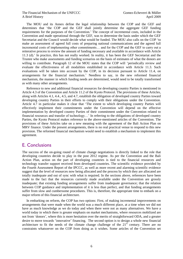The MOU and its Annex define the legal relationship between the COP and the GEF and determines that 'the COP and the GEF shall jointly determine the aggregate GEF funding requirements for the purposes of the Convention.' The concept of incremental costs, included in the Convention and made operational through the GEF, was to determine the basis under which the GEF Secretariat and the Council would decide what would be funded. The MOU also calls on the COP 'to make an assessment of agreed full costs of preparing national communications and the agreed full incremental costs of implementing other commitments… and for the COP and the GEF to carry out a reiterative process to review the amount of funding necessary and available in accordance with Article 11.3 (d).' In practice, this has not really worked. In reality, it has been the GEF Secretariat and the Trustee who make assessments and funding scenarios on the basis of estimates of what the donors are willing to contribute. Paragraph 12 of the MOU states that the COP will 'periodically review and evaluate the effectiveness of all modalities established in accordance with Article 11.3. Such evaluations will be taken into account by the COP, in its decision pursuant to Article 11.4, on arrangements for the financial mechanism.' Needless to say, in the new reformed financial mechanism, the manner in which funding needs are determined, would need to be totally transformed as with many other arrangements.

Reference to new and additional financial resources for developing country Parties is mentioned in Article 4.3 of the Convention and Article 11.2 of the Kyoto Protocol. The provisions of these Articles, along with Articles 4.1, 4.4., 4.5, and 4.7, establish the obligation of developed country Parties toward developing country Parties in their efforts to comply with their obligations under the Convention. Article 4.7 in particular makes it clear that 'The extent to which developing country Parties will effectively implement their commitments under the Convention will depend on the effective implementation by developed country Parties of their commitment under the Convention related to financial resources and transfer of technology…' In referring to the obligations of developed country Parties, the Kyoto Protocol makes reference to the above-mentioned articles of the Convention. The provisions of these Articles take on a new meaning with the agreement of the Bali Action Plan on MRV finance. Under the present arrangements, there is no real practical venue to respond to this new provision. The reformed financial mechanism would need to establish a mechanism to implement this agreement.

#### E. Conclusions

The success of the on-going round of climate change negotiations is directly linked to the role that developing countries decide to play in the post 2012 regime. As per the Convention and the Bali Action Plan, action on the part of developing countries is tied to the financial resources and technology transfer support received from developed countries. The scientific evidence provided by the Fourth Assessment Report of the IPCCC, as well as more recent and alarming scientific evidence suggest that the level of resources now being allocated and the process by which they are allocated are totally inadequate and out of sync with what is required. In the sections above, references have been made to the fact that the resources currently made available under the Convention are grossly inadequate; that existing funding arrangements suffer from inadequate governance; that the relation between COP guidance and implementation of it is less than perfect, and that funding arrangements suffer from slow and cumbersome procedures. This is, therefore, the appropriate time to embark on a major reform of this financial architecture.

In embarking on reform, the COP has two options: First, of making incremental improvements on arrangements that were made when the world was a much different place, at a time when we did not have as much knowledge as we do today and when there were not as many alternatives. We have a world today in which there is greater emphasis on market mechanisms, where resources mobilized are not from 'donors', where this is more hesitation over the merits of straightforward ODA, and a greater desire to move towards 'innovative' financing. The second option is to design a whole new financial architecture to fit the needs of the climate change challenge of the  $21<sup>st</sup>$  century. There are no constraints whatsoever on the COP from doing as it wishes. Some articles of the Convention set